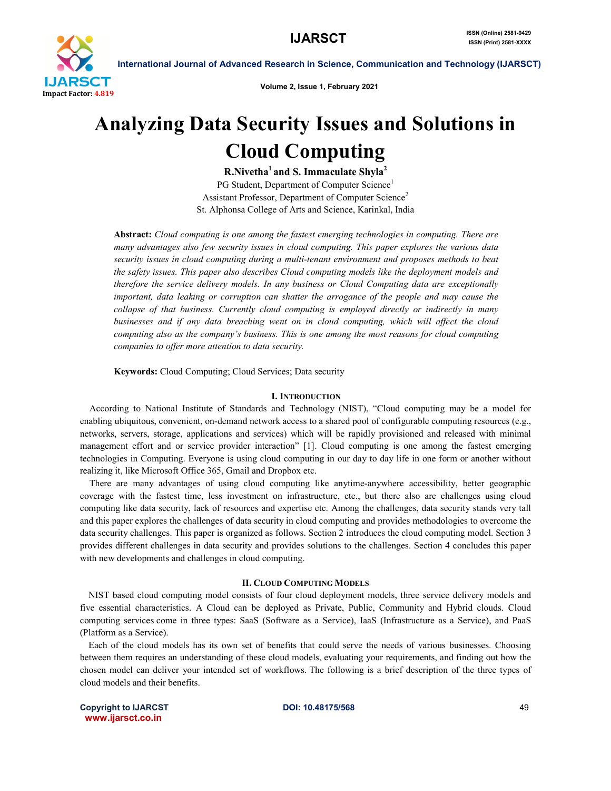

Volume 2, Issue 1, February 2021

# Analyzing Data Security Issues and Solutions in Cloud Computing

R.Nivetha<sup>1</sup> and S. Immaculate Shyla<sup>2</sup>

PG Student, Department of Computer Science<sup>1</sup> Assistant Professor, Department of Computer Science<sup>2</sup> St. Alphonsa College of Arts and Science, Karinkal, India

Abstract: *Cloud computing is one among the fastest emerging technologies in computing. There are many advantages also few security issues in cloud computing. This paper explores the various data security issues in cloud computing during a multi-tenant environment and proposes methods to beat the safety issues. This paper also describes Cloud computing models like the deployment models and therefore the service delivery models. In any business or Cloud Computing data are exceptionally important, data leaking or corruption can shatter the arrogance of the people and may cause the collapse of that business. Currently cloud computing is employed directly or indirectly in many businesses and if any data breaching went on in cloud computing, which will affect the cloud computing also as the company's business. This is one among the most reasons for cloud computing companies to offer more attention to data security.*

Keywords: Cloud Computing; Cloud Services; Data security

#### I. INTRODUCTION

 According to National Institute of Standards and Technology (NIST), "Cloud computing may be a model for enabling ubiquitous, convenient, on-demand network access to a shared pool of configurable computing resources (e.g., networks, servers, storage, applications and services) which will be rapidly provisioned and released with minimal management effort and or service provider interaction" [1]. Cloud computing is one among the fastest emerging technologies in Computing. Everyone is using cloud computing in our day to day life in one form or another without realizing it, like Microsoft Office 365, Gmail and Dropbox etc.

 There are many advantages of using cloud computing like anytime-anywhere accessibility, better geographic coverage with the fastest time, less investment on infrastructure, etc., but there also are challenges using cloud computing like data security, lack of resources and expertise etc. Among the challenges, data security stands very tall and this paper explores the challenges of data security in cloud computing and provides methodologies to overcome the data security challenges. This paper is organized as follows. Section 2 introduces the cloud computing model. Section 3 provides different challenges in data security and provides solutions to the challenges. Section 4 concludes this paper with new developments and challenges in cloud computing.

#### II. CLOUD COMPUTING MODELS

 NIST based cloud computing model consists of four cloud deployment models, three service delivery models and five essential characteristics. A Cloud can be deployed as Private, Public, Community and Hybrid clouds. Cloud computing services come in three types: SaaS (Software as a Service), IaaS (Infrastructure as a Service), and PaaS (Platform as a Service).

 Each of the cloud models has its own set of benefits that could serve the needs of various businesses. Choosing between them requires an understanding of these cloud models, evaluating your requirements, and finding out how the chosen model can deliver your intended set of workflows. The following is a brief description of the three types of cloud models and their benefits.

Copyright to IJARCST **DOI: 10.48175/568** 49 www.ijarsct.co.in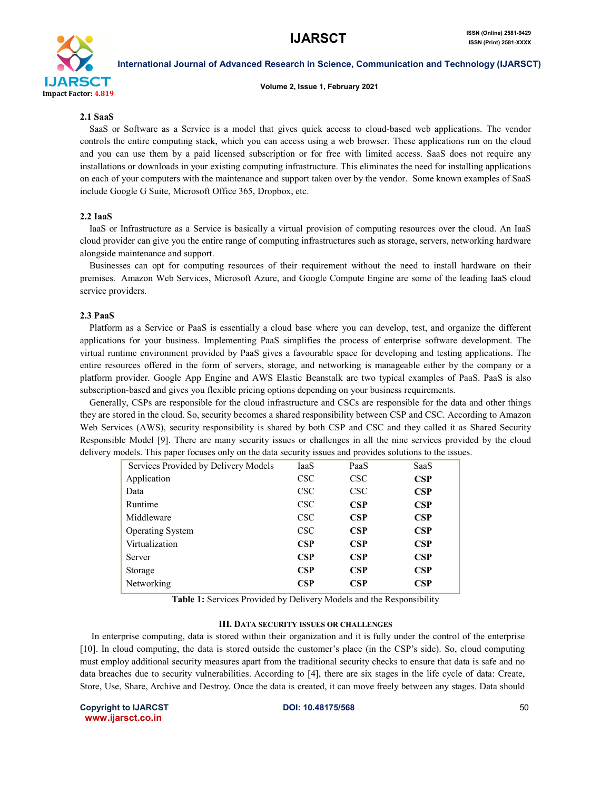

Volume 2, Issue 1, February 2021

#### 2.1 SaaS

SaaS or Software as a Service is a model that gives quick access to cloud-based web applications. The vendor controls the entire computing stack, which you can access using a web browser. These applications run on the cloud and you can use them by a paid licensed subscription or for free with limited access. SaaS does not require any installations or downloads in your existing computing infrastructure. This eliminates the need for installing applications on each of your computers with the maintenance and support taken over by the vendor. Some known examples of SaaS include Google G Suite, Microsoft Office 365, Dropbox, etc.

#### 2.2 IaaS

IaaS or Infrastructure as a Service is basically a virtual provision of computing resources over the cloud. An IaaS cloud provider can give you the entire range of computing infrastructures such as storage, servers, networking hardware alongside maintenance and support.

Businesses can opt for computing resources of their requirement without the need to install hardware on their premises. Amazon Web Services, Microsoft Azure, and Google Compute Engine are some of the leading IaaS cloud service providers.

#### 2.3 PaaS

Platform as a Service or PaaS is essentially a cloud base where you can develop, test, and organize the different applications for your business. Implementing PaaS simplifies the process of enterprise software development. The virtual runtime environment provided by PaaS gives a favourable space for developing and testing applications. The entire resources offered in the form of servers, storage, and networking is manageable either by the company or a platform provider. Google App Engine and AWS Elastic Beanstalk are two typical examples of PaaS. PaaS is also subscription-based and gives you flexible pricing options depending on your business requirements.

Generally, CSPs are responsible for the cloud infrastructure and CSCs are responsible for the data and other things they are stored in the cloud. So, security becomes a shared responsibility between CSP and CSC. According to Amazon Web Services (AWS), security responsibility is shared by both CSP and CSC and they called it as Shared Security Responsible Model [9]. There are many security issues or challenges in all the nine services provided by the cloud delivery models. This paper focuses only on the data security issues and provides solutions to the issues.

| Services Provided by Delivery Models | IaaS       | PaaS       | SaaS       |
|--------------------------------------|------------|------------|------------|
| Application                          | <b>CSC</b> | <b>CSC</b> | CSP        |
| Data                                 | <b>CSC</b> | <b>CSC</b> | CSP        |
| Runtime                              | <b>CSC</b> | CSP        | CSP        |
| Middleware                           | <b>CSC</b> | CSP        | CSP        |
| <b>Operating System</b>              | <b>CSC</b> | <b>CSP</b> | CSP        |
| Virtualization                       | <b>CSP</b> | CSP        | CSP        |
| Server                               | <b>CSP</b> | CSP        | CSP        |
| Storage                              | <b>CSP</b> | CSP        | CSP        |
| Networking                           | <b>CSP</b> | <b>CSP</b> | <b>CSP</b> |
|                                      |            |            |            |

Table 1: Services Provided by Delivery Models and the Responsibility

#### III. DATA SECURITY ISSUES OR CHALLENGES

In enterprise computing, data is stored within their organization and it is fully under the control of the enterprise [10]. In cloud computing, the data is stored outside the customer's place (in the CSP's side). So, cloud computing must employ additional security measures apart from the traditional security checks to ensure that data is safe and no data breaches due to security vulnerabilities. According to [4], there are six stages in the life cycle of data: Create, Store, Use, Share, Archive and Destroy. Once the data is created, it can move freely between any stages. Data should

Copyright to IJARCST **DOI: 10.48175/568** 50 www.ijarsct.co.in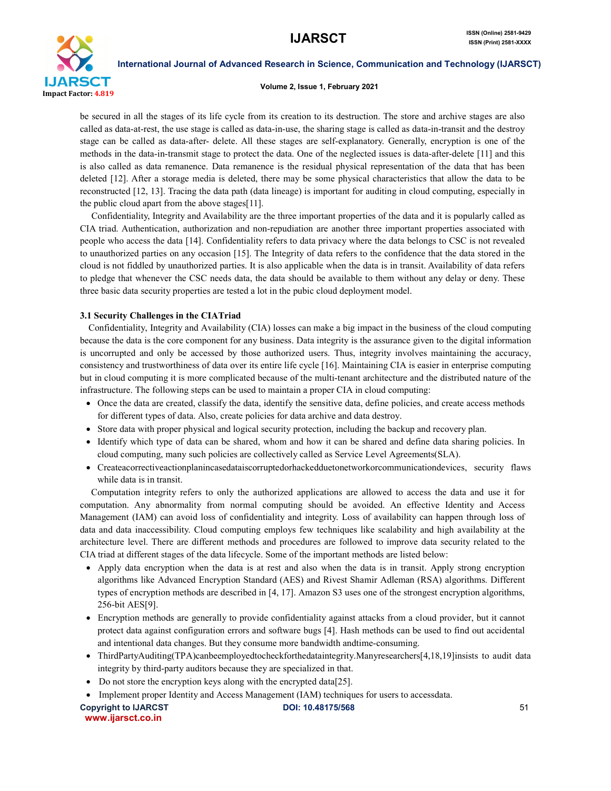

#### Volume 2, Issue 1, February 2021

be secured in all the stages of its life cycle from its creation to its destruction. The store and archive stages are also called as data-at-rest, the use stage is called as data-in-use, the sharing stage is called as data-in-transit and the destroy stage can be called as data-after- delete. All these stages are self-explanatory. Generally, encryption is one of the methods in the data-in-transmit stage to protect the data. One of the neglected issues is data-after-delete [11] and this is also called as data remanence. Data remanence is the residual physical representation of the data that has been deleted [12]. After a storage media is deleted, there may be some physical characteristics that allow the data to be reconstructed [12, 13]. Tracing the data path (data lineage) is important for auditing in cloud computing, especially in the public cloud apart from the above stages[11].

Confidentiality, Integrity and Availability are the three important properties of the data and it is popularly called as CIA triad. Authentication, authorization and non-repudiation are another three important properties associated with people who access the data [14]. Confidentiality refers to data privacy where the data belongs to CSC is not revealed to unauthorized parties on any occasion [15]. The Integrity of data refers to the confidence that the data stored in the cloud is not fiddled by unauthorized parties. It is also applicable when the data is in transit. Availability of data refers to pledge that whenever the CSC needs data, the data should be available to them without any delay or deny. These three basic data security properties are tested a lot in the pubic cloud deployment model.

#### 3.1 Security Challenges in the CIATriad

 Confidentiality, Integrity and Availability (CIA) losses can make a big impact in the business of the cloud computing because the data is the core component for any business. Data integrity is the assurance given to the digital information is uncorrupted and only be accessed by those authorized users. Thus, integrity involves maintaining the accuracy, consistency and trustworthiness of data over its entire life cycle [16]. Maintaining CIA is easier in enterprise computing but in cloud computing it is more complicated because of the multi-tenant architecture and the distributed nature of the infrastructure. The following steps can be used to maintain a proper CIA in cloud computing:

- Once the data are created, classify the data, identify the sensitive data, define policies, and create access methods for different types of data. Also, create policies for data archive and data destroy.
- Store data with proper physical and logical security protection, including the backup and recovery plan.
- Identify which type of data can be shared, whom and how it can be shared and define data sharing policies. In cloud computing, many such policies are collectively called as Service Level Agreements(SLA).
- Createacorrectiveactionplanincasedataiscorruptedorhackedduetonetworkorcommunicationdevices, security flaws while data is in transit.

 Computation integrity refers to only the authorized applications are allowed to access the data and use it for computation. Any abnormality from normal computing should be avoided. An effective Identity and Access Management (IAM) can avoid loss of confidentiality and integrity. Loss of availability can happen through loss of data and data inaccessibility. Cloud computing employs few techniques like scalability and high availability at the architecture level. There are different methods and procedures are followed to improve data security related to the CIA triad at different stages of the data lifecycle. Some of the important methods are listed below:

- Apply data encryption when the data is at rest and also when the data is in transit. Apply strong encryption algorithms like Advanced Encryption Standard (AES) and Rivest Shamir Adleman (RSA) algorithms. Different types of encryption methods are described in [4, 17]. Amazon S3 uses one of the strongest encryption algorithms, 256-bit AES[9].
- Encryption methods are generally to provide confidentiality against attacks from a cloud provider, but it cannot protect data against configuration errors and software bugs [4]. Hash methods can be used to find out accidental and intentional data changes. But they consume more bandwidth andtime-consuming.
- ThirdPartyAuditing(TPA)canbeemployedtocheckforthedataintegrity.Manyresearchers[4,18,19]insists to audit data integrity by third-party auditors because they are specialized in that.
- Do not store the encryption keys along with the encrypted data[25].
- Implement proper Identity and Access Management (IAM) techniques for users to accessdata.

Copyright to IJARCST **DOI: 10.48175/568** 51 www.ijarsct.co.in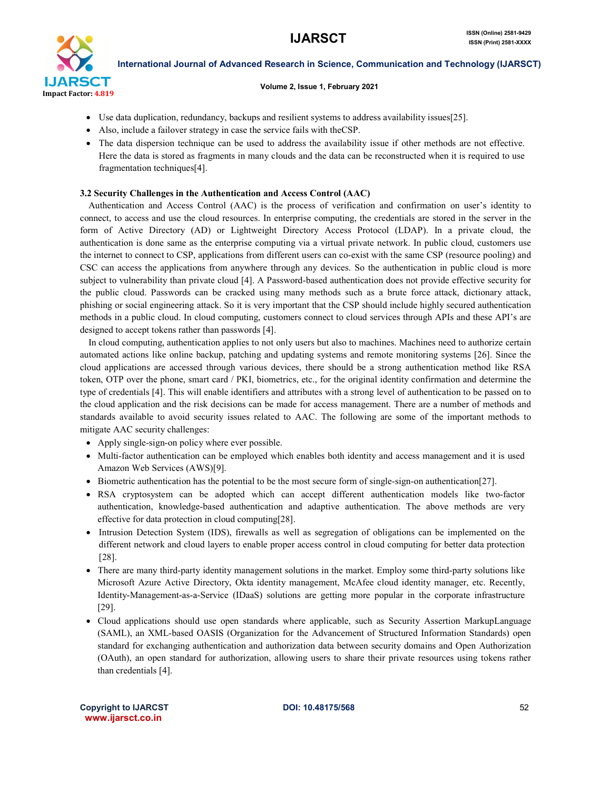

#### Volume 2, Issue 1, February 2021

- Use data duplication, redundancy, backups and resilient systems to address availability issues[25].
- Also, include a failover strategy in case the service fails with theCSP.
- The data dispersion technique can be used to address the availability issue if other methods are not effective. Here the data is stored as fragments in many clouds and the data can be reconstructed when it is required to use fragmentation techniques[4].

#### 3.2 Security Challenges in the Authentication and Access Control (AAC)

 Authentication and Access Control (AAC) is the process of verification and confirmation on user's identity to connect, to access and use the cloud resources. In enterprise computing, the credentials are stored in the server in the form of Active Directory (AD) or Lightweight Directory Access Protocol (LDAP). In a private cloud, the authentication is done same as the enterprise computing via a virtual private network. In public cloud, customers use the internet to connect to CSP, applications from different users can co-exist with the same CSP (resource pooling) and CSC can access the applications from anywhere through any devices. So the authentication in public cloud is more subject to vulnerability than private cloud [4]. A Password-based authentication does not provide effective security for the public cloud. Passwords can be cracked using many methods such as a brute force attack, dictionary attack, phishing or social engineering attack. So it is very important that the CSP should include highly secured authentication methods in a public cloud. In cloud computing, customers connect to cloud services through APIs and these API's are designed to accept tokens rather than passwords [4].

 In cloud computing, authentication applies to not only users but also to machines. Machines need to authorize certain automated actions like online backup, patching and updating systems and remote monitoring systems [26]. Since the cloud applications are accessed through various devices, there should be a strong authentication method like RSA token, OTP over the phone, smart card / PKI, biometrics, etc., for the original identity confirmation and determine the type of credentials [4]. This will enable identifiers and attributes with a strong level of authentication to be passed on to the cloud application and the risk decisions can be made for access management. There are a number of methods and standards available to avoid security issues related to AAC. The following are some of the important methods to mitigate AAC security challenges:

- Apply single-sign-on policy where ever possible.
- Multi-factor authentication can be employed which enables both identity and access management and it is used Amazon Web Services (AWS)[9].
- Biometric authentication has the potential to be the most secure form of single-sign-on authentication[27].
- RSA cryptosystem can be adopted which can accept different authentication models like two-factor authentication, knowledge-based authentication and adaptive authentication. The above methods are very effective for data protection in cloud computing[28].
- Intrusion Detection System (IDS), firewalls as well as segregation of obligations can be implemented on the different network and cloud layers to enable proper access control in cloud computing for better data protection [28].
- There are many third-party identity management solutions in the market. Employ some third-party solutions like Microsoft Azure Active Directory, Okta identity management, McAfee cloud identity manager, etc. Recently, Identity-Management-as-a-Service (IDaaS) solutions are getting more popular in the corporate infrastructure [29].
- Cloud applications should use open standards where applicable, such as Security Assertion MarkupLanguage (SAML), an XML-based OASIS (Organization for the Advancement of Structured Information Standards) open standard for exchanging authentication and authorization data between security domains and Open Authorization (OAuth), an open standard for authorization, allowing users to share their private resources using tokens rather than credentials [4].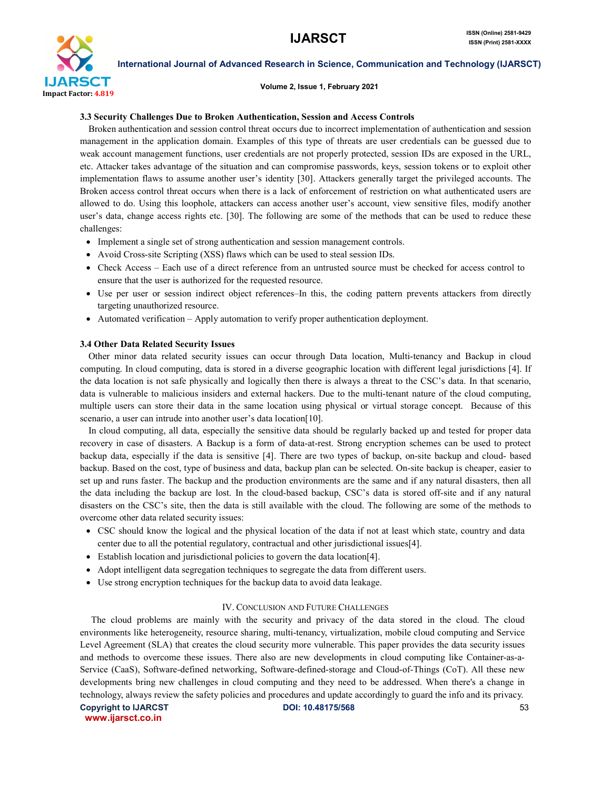

#### Volume 2, Issue 1, February 2021

#### 3.3 Security Challenges Due to Broken Authentication, Session and Access Controls

 Broken authentication and session control threat occurs due to incorrect implementation of authentication and session management in the application domain. Examples of this type of threats are user credentials can be guessed due to weak account management functions, user credentials are not properly protected, session IDs are exposed in the URL, etc. Attacker takes advantage of the situation and can compromise passwords, keys, session tokens or to exploit other implementation flaws to assume another user's identity [30]. Attackers generally target the privileged accounts. The Broken access control threat occurs when there is a lack of enforcement of restriction on what authenticated users are allowed to do. Using this loophole, attackers can access another user's account, view sensitive files, modify another user's data, change access rights etc. [30]. The following are some of the methods that can be used to reduce these challenges:

- Implement a single set of strong authentication and session management controls.
- Avoid Cross-site Scripting (XSS) flaws which can be used to steal session IDs.
- Check Access Each use of a direct reference from an untrusted source must be checked for access control to ensure that the user is authorized for the requested resource.
- Use per user or session indirect object references–In this, the coding pattern prevents attackers from directly targeting unauthorized resource.
- Automated verification Apply automation to verify proper authentication deployment.

#### 3.4 Other Data Related Security Issues

 Other minor data related security issues can occur through Data location, Multi-tenancy and Backup in cloud computing. In cloud computing, data is stored in a diverse geographic location with different legal jurisdictions [4]. If the data location is not safe physically and logically then there is always a threat to the CSC's data. In that scenario, data is vulnerable to malicious insiders and external hackers. Due to the multi-tenant nature of the cloud computing, multiple users can store their data in the same location using physical or virtual storage concept. Because of this scenario, a user can intrude into another user's data location[10].

 In cloud computing, all data, especially the sensitive data should be regularly backed up and tested for proper data recovery in case of disasters. A Backup is a form of data-at-rest. Strong encryption schemes can be used to protect backup data, especially if the data is sensitive [4]. There are two types of backup, on-site backup and cloud- based backup. Based on the cost, type of business and data, backup plan can be selected. On-site backup is cheaper, easier to set up and runs faster. The backup and the production environments are the same and if any natural disasters, then all the data including the backup are lost. In the cloud-based backup, CSC's data is stored off-site and if any natural disasters on the CSC's site, then the data is still available with the cloud. The following are some of the methods to overcome other data related security issues:

- CSC should know the logical and the physical location of the data if not at least which state, country and data center due to all the potential regulatory, contractual and other jurisdictional issues[4].
- Establish location and jurisdictional policies to govern the data location[4].
- Adopt intelligent data segregation techniques to segregate the data from different users.
- Use strong encryption techniques for the backup data to avoid data leakage.

#### IV. CONCLUSION AND FUTURE CHALLENGES

 The cloud problems are mainly with the security and privacy of the data stored in the cloud. The cloud environments like heterogeneity, resource sharing, multi-tenancy, virtualization, mobile cloud computing and Service Level Agreement (SLA) that creates the cloud security more vulnerable. This paper provides the data security issues and methods to overcome these issues. There also are new developments in cloud computing like Container-as-a-Service (CaaS), Software-defined networking, Software-defined-storage and Cloud-of-Things (CoT). All these new developments bring new challenges in cloud computing and they need to be addressed. When there's a change in technology, always review the safety policies and procedures and update accordingly to guard the info and its privacy.

Copyright to IJARCST **DOI: 10.48175/568 S3** www.ijarsct.co.in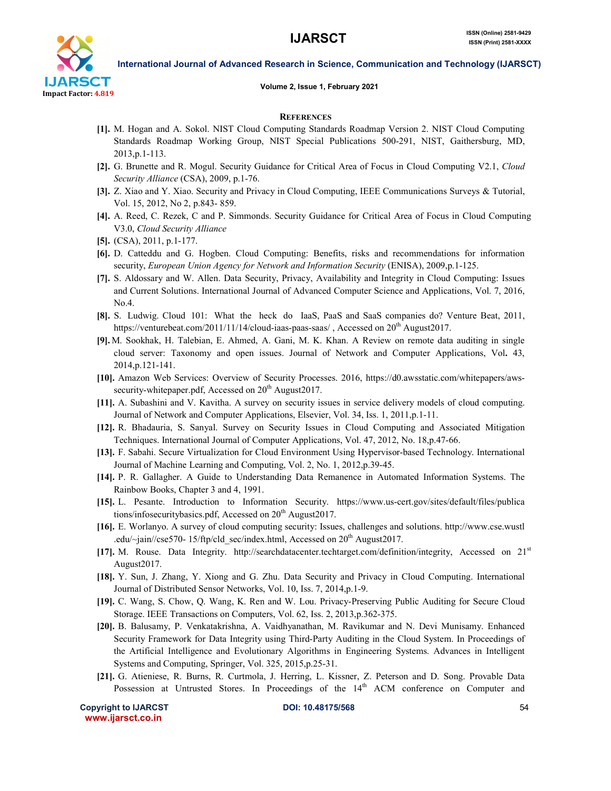

## Volume 2, Issue 1, February 2021

International Journal of Advanced Research in Science, Communication and Technology (IJARSCT)

#### **REFERENCES**

- [1]. M. Hogan and A. Sokol. NIST Cloud Computing Standards Roadmap Version 2. NIST Cloud Computing Standards Roadmap Working Group, NIST Special Publications 500-291, NIST, Gaithersburg, MD, 2013,p.1-113.
- [2]. G. Brunette and R. Mogul. Security Guidance for Critical Area of Focus in Cloud Computing V2.1, *Cloud Security Alliance* (CSA), 2009, p.1-76.
- [3]. Z. Xiao and Y. Xiao. Security and Privacy in Cloud Computing, IEEE Communications Surveys & Tutorial, Vol. 15, 2012, No 2, p.843- 859.
- [4]. A. Reed, C. Rezek, C and P. Simmonds. Security Guidance for Critical Area of Focus in Cloud Computing V3.0, *Cloud Security Alliance*
- [5]. (CSA), 2011, p.1-177.
- [6]. D. Catteddu and G. Hogben. Cloud Computing: Benefits, risks and recommendations for information security, *European Union Agency for Network and Information Security* (ENISA), 2009,p.1-125.
- [7]. S. Aldossary and W. Allen. Data Security, Privacy, Availability and Integrity in Cloud Computing: Issues and Current Solutions. International Journal of Advanced Computer Science and Applications, Vol. 7, 2016, No.4.
- [8]. S. Ludwig. Cloud 101: What the heck do IaaS, PaaS and SaaS companies do? Venture Beat, 2011, https://venturebeat.com/2011/11/14/cloud-iaas-paas-saas/, Accessed on 20<sup>th</sup> August2017.
- [9]. M. Sookhak, H. Talebian, E. Ahmed, A. Gani, M. K. Khan. A Review on remote data auditing in single cloud server: Taxonomy and open issues. Journal of Network and Computer Applications, Vol. 43, 2014,p.121-141.
- [10]. Amazon Web Services: Overview of Security Processes. 2016, https://d0.awsstatic.com/whitepapers/awssecurity-whitepaper.pdf, Accessed on  $20<sup>th</sup>$  August $2017$ .
- [11]. A. Subashini and V. Kavitha. A survey on security issues in service delivery models of cloud computing. Journal of Network and Computer Applications, Elsevier, Vol. 34, Iss. 1, 2011,p.1-11.
- [12]. R. Bhadauria, S. Sanyal. Survey on Security Issues in Cloud Computing and Associated Mitigation Techniques. International Journal of Computer Applications, Vol. 47, 2012, No. 18,p.47-66.
- [13]. F. Sabahi. Secure Virtualization for Cloud Environment Using Hypervisor-based Technology. International Journal of Machine Learning and Computing, Vol. 2, No. 1, 2012,p.39-45.
- [14]. P. R. Gallagher. A Guide to Understanding Data Remanence in Automated Information Systems. The Rainbow Books, Chapter 3 and 4, 1991.
- [15]. L. Pesante. Introduction to Information Security. https://www.us-cert.gov/sites/default/files/publica tions/infosecuritybasics.pdf, Accessed on  $20<sup>th</sup>$  August $2017$ .
- [16]. E. Worlanyo. A survey of cloud computing security: Issues, challenges and solutions. http://www.cse.wustl .edu/ $\sim$ jain//cse570- 15/ftp/cld\_sec/index.html, Accessed on 20<sup>th</sup> August2017.
- [17]. M. Rouse. Data Integrity. http://searchdatacenter.techtarget.com/definition/integrity, Accessed on 21st August2017.
- [18]. Y. Sun, J. Zhang, Y. Xiong and G. Zhu. Data Security and Privacy in Cloud Computing. International Journal of Distributed Sensor Networks, Vol. 10, Iss. 7, 2014,p.1-9.
- [19]. C. Wang, S. Chow, Q. Wang, K. Ren and W. Lou. Privacy-Preserving Public Auditing for Secure Cloud Storage. IEEE Transactions on Computers, Vol. 62, Iss. 2, 2013,p.362-375.
- [20]. B. Balusamy, P. Venkatakrishna, A. Vaidhyanathan, M. Ravikumar and N. Devi Munisamy. Enhanced Security Framework for Data Integrity using Third-Party Auditing in the Cloud System. In Proceedings of the Artificial Intelligence and Evolutionary Algorithms in Engineering Systems. Advances in Intelligent Systems and Computing, Springer, Vol. 325, 2015,p.25-31.
- [21]. G. Atieniese, R. Burns, R. Curtmola, J. Herring, L. Kissner, Z. Peterson and D. Song. Provable Data Possession at Untrusted Stores. In Proceedings of the 14<sup>th</sup> ACM conference on Computer and

Copyright to IJARCST DOI: 10.48175/568 54 www.ijarsct.co.in